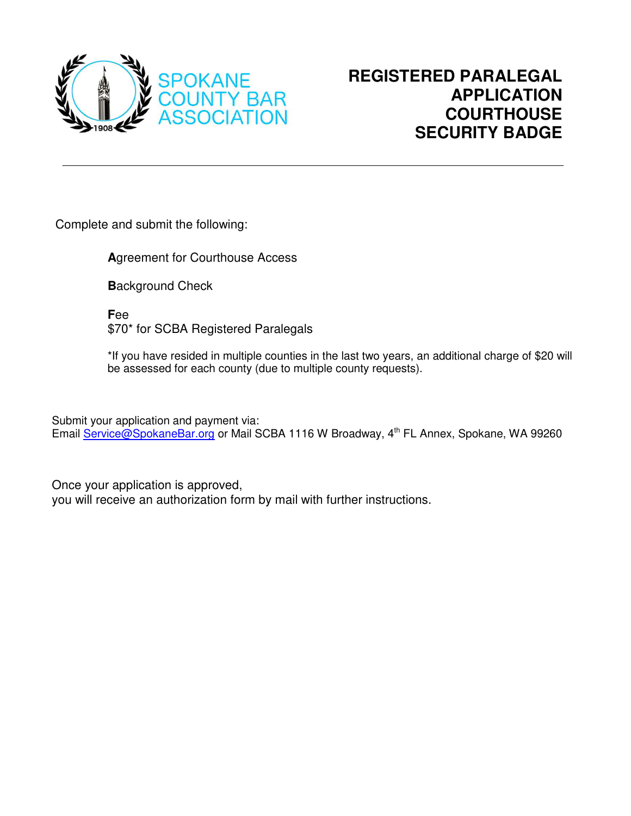

Complete and submit the following:

**A**greement for Courthouse Access

**B**ackground Check

**F**ee \$70\* for SCBA Registered Paralegals

\*If you have resided in multiple counties in the last two years, an additional charge of \$20 will be assessed for each county (due to multiple county requests).

Submit your application and payment via: Email [Service@SpokaneBar.org](mailto:Service@SpokaneBar.org) or Mail SCBA 1116 W Broadway, 4<sup>th</sup> FL Annex, Spokane, WA 99260

Once your application is approved, you will receive an authorization form by mail with further instructions.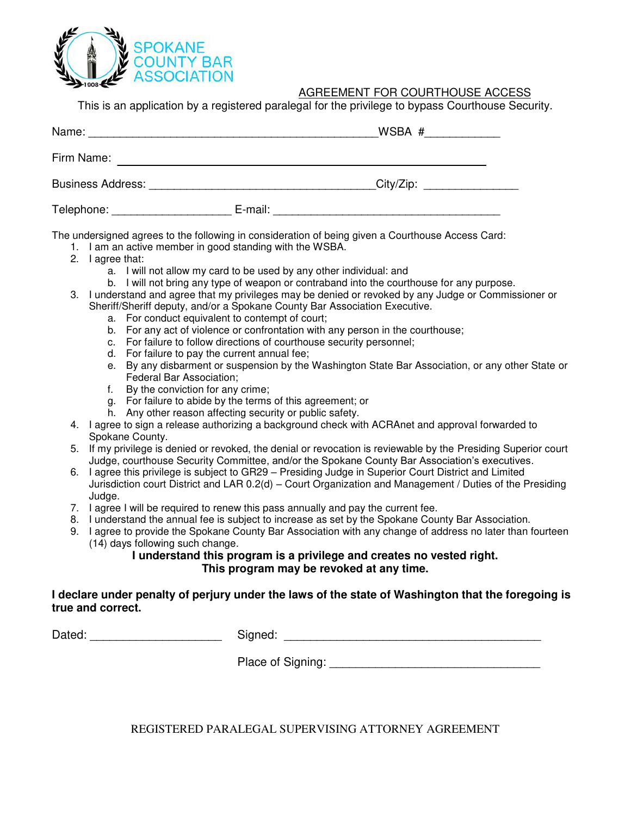

## AGREEMENT FOR COURTHOUSE ACCESS

This is an application by a registered paralegal for the privilege to bypass Courthouse Security.

|                                       |         | WSBA #                      |
|---------------------------------------|---------|-----------------------------|
| Firm Name:                            |         |                             |
| <b>Business Address: Example 2016</b> |         | City/Zip: _________________ |
| Telephone:                            | E-mail: |                             |

The undersigned agrees to the following in consideration of being given a Courthouse Access Card:

- 1. I am an active member in good standing with the WSBA.
- 2. I agree that:
	- a. I will not allow my card to be used by any other individual: and
	- b. I will not bring any type of weapon or contraband into the courthouse for any purpose.
- 3. I understand and agree that my privileges may be denied or revoked by any Judge or Commissioner or Sheriff/Sheriff deputy, and/or a Spokane County Bar Association Executive.
	- a. For conduct equivalent to contempt of court;
	- b. For any act of violence or confrontation with any person in the courthouse;
	- c. For failure to follow directions of courthouse security personnel;
	- d. For failure to pay the current annual fee;
	- e. By any disbarment or suspension by the Washington State Bar Association, or any other State or Federal Bar Association;
	- f. By the conviction for any crime;
	- g. For failure to abide by the terms of this agreement; or
	- h. Any other reason affecting security or public safety.
- 4. I agree to sign a release authorizing a background check with ACRAnet and approval forwarded to Spokane County.
- 5. If my privilege is denied or revoked, the denial or revocation is reviewable by the Presiding Superior court Judge, courthouse Security Committee, and/or the Spokane County Bar Association's executives.
- 6. I agree this privilege is subject to GR29 Presiding Judge in Superior Court District and Limited Jurisdiction court District and LAR 0.2(d) – Court Organization and Management / Duties of the Presiding Judge.
- 7. I agree I will be required to renew this pass annually and pay the current fee.
- 8. I understand the annual fee is subject to increase as set by the Spokane County Bar Association.
- 9. I agree to provide the Spokane County Bar Association with any change of address no later than fourteen (14) days following such change.

### **I understand this program is a privilege and creates no vested right. This program may be revoked at any time.**

### **I declare under penalty of perjury under the laws of the state of Washington that the foregoing is true and correct.**

Dated: \_\_\_\_\_\_\_\_\_\_\_\_\_\_\_\_\_\_\_\_ Signed: \_\_\_\_\_\_\_\_\_\_\_\_\_\_\_\_\_\_\_\_\_\_\_\_\_\_\_\_\_\_\_\_\_\_\_\_\_\_\_

Place of Signing:  $\Box$ 

REGISTERED PARALEGAL SUPERVISING ATTORNEY AGREEMENT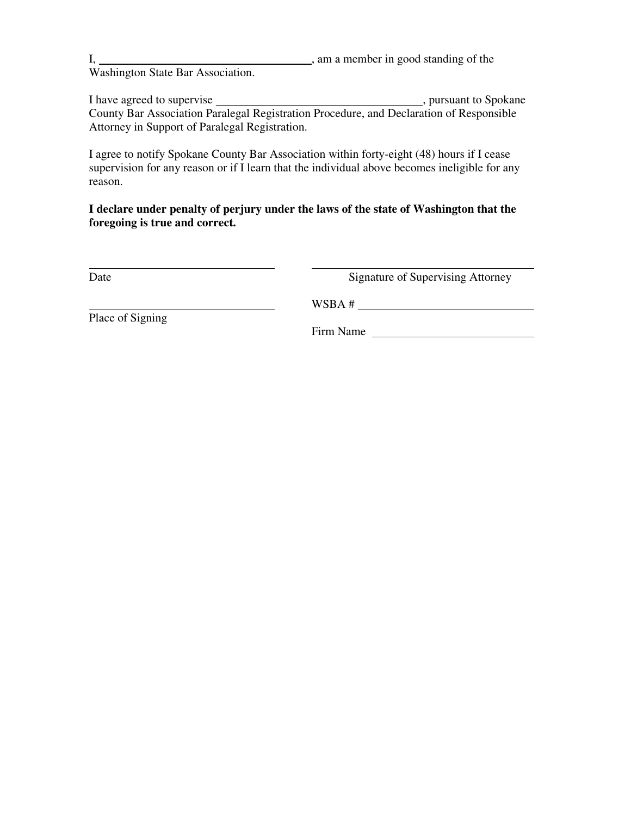|                                   | , am a member in good standing of the |
|-----------------------------------|---------------------------------------|
| Washington State Bar Association. |                                       |

I have agreed to supervise , pursuant to Spokane County Bar Association Paralegal Registration Procedure, and Declaration of Responsible Attorney in Support of Paralegal Registration.

I agree to notify Spokane County Bar Association within forty-eight (48) hours if I cease supervision for any reason or if I learn that the individual above becomes ineligible for any reason.

**I declare under penalty of perjury under the laws of the state of Washington that the foregoing is true and correct.** 

| ЯΓ |  |
|----|--|

**Signature of Supervising Attorney** 

Place of Signing

Firm Name

WSBA #